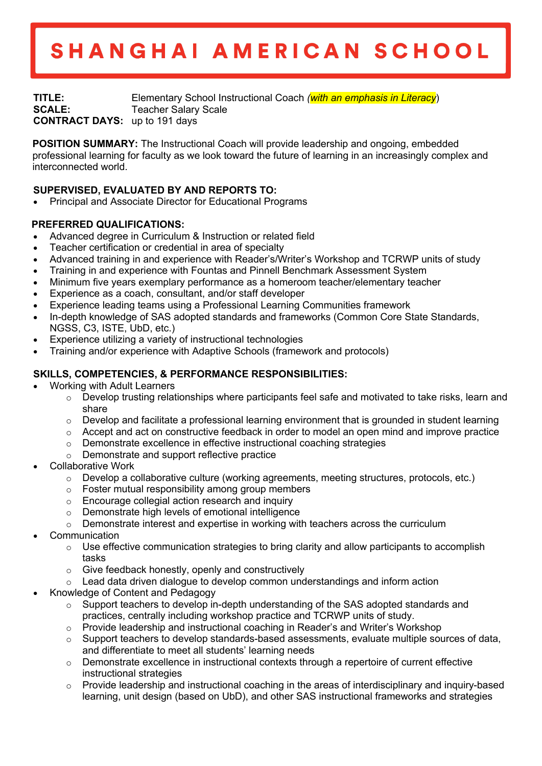# SHANGHAI AMERICAN SCHOOL

**TITLE:** Elementary School Instructional Coach *(with an emphasis in Literacy*) **SCALE:** Teacher Salary Scale **CONTRACT DAYS:** up to 191 days

**POSITION SUMMARY:** The Instructional Coach will provide leadership and ongoing, embedded professional learning for faculty as we look toward the future of learning in an increasingly complex and interconnected world.

## **SUPERVISED, EVALUATED BY AND REPORTS TO:**

• Principal and Associate Director for Educational Programs

### **PREFERRED QUALIFICATIONS:**

- Advanced degree in Curriculum & Instruction or related field
- Teacher certification or credential in area of specialty
- Advanced training in and experience with Reader's/Writer's Workshop and TCRWP units of study
- Training in and experience with Fountas and Pinnell Benchmark Assessment System
- Minimum five years exemplary performance as a homeroom teacher/elementary teacher
- Experience as a coach, consultant, and/or staff developer
- Experience leading teams using a Professional Learning Communities framework
- In-depth knowledge of SAS adopted standards and frameworks (Common Core State Standards, NGSS, C3, ISTE, UbD, etc.)
- Experience utilizing a variety of instructional technologies
- Training and/or experience with Adaptive Schools (framework and protocols)

### **SKILLS, COMPETENCIES, & PERFORMANCE RESPONSIBILITIES:**

- Working with Adult Learners
	- $\circ$  Develop trusting relationships where participants feel safe and motivated to take risks, learn and share
	- $\circ$  Develop and facilitate a professional learning environment that is grounded in student learning
	- $\circ$  Accept and act on constructive feedback in order to model an open mind and improve practice
	- o Demonstrate excellence in effective instructional coaching strategies
	- o Demonstrate and support reflective practice
- Collaborative Work
	- $\circ$  Develop a collaborative culture (working agreements, meeting structures, protocols, etc.)
	- o Foster mutual responsibility among group members
	- o Encourage collegial action research and inquiry
	- o Demonstrate high levels of emotional intelligence
	- $\circ$  Demonstrate interest and expertise in working with teachers across the curriculum
- **Communication** 
	- o Use effective communication strategies to bring clarity and allow participants to accomplish tasks
	- o Give feedback honestly, openly and constructively
	- Lead data driven dialogue to develop common understandings and inform action
- Knowledge of Content and Pedagogy
	- $\circ$  Support teachers to develop in-depth understanding of the SAS adopted standards and practices, centrally including workshop practice and TCRWP units of study.
	- $\circ$  Provide leadership and instructional coaching in Reader's and Writer's Workshop
	- $\circ$  Support teachers to develop standards-based assessments, evaluate multiple sources of data, and differentiate to meet all students' learning needs
	- $\circ$  Demonstrate excellence in instructional contexts through a repertoire of current effective instructional strategies
	- $\circ$  Provide leadership and instructional coaching in the areas of interdisciplinary and inquiry-based learning, unit design (based on UbD), and other SAS instructional frameworks and strategies